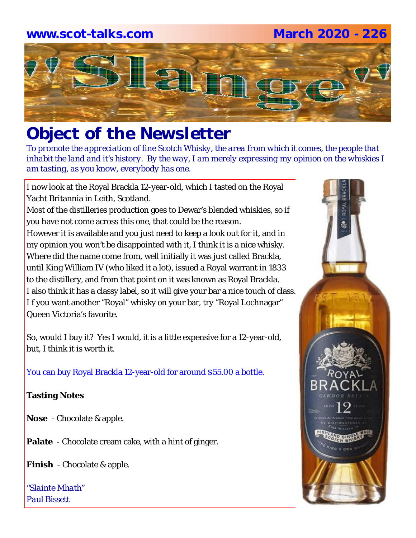# **www.scot-talks.com March 2020 - 226**



# *Object of the Newsletter*

*To promote the appreciation of fine Scotch Whisky, the area from which it comes, the people that inhabit the land and it's history. By the way, I am merely expressing my opinion on the whiskies I am tasting, as you know, everybody has one.* 

I now look at the Royal Brackla 12-year-old, which I tasted on the Royal Yacht Britannia in Leith, Scotland.

Most of the distilleries production goes to Dewar's blended whiskies, so if you have not come across this one, that could be the reason.

However it is available and you just need to keep a look out for it, and in my opinion you won't be disappointed with it, I think it is a nice whisky. Where did the name come from, well initially it was just called Brackla, until King William IV (who liked it a lot), issued a Royal warrant in 1833 to the distillery, and from that point on it was known as Royal Brackla. I also think it has a classy label, so it will give your bar a nice touch of class. I f you want another "Royal" whisky on your bar, try "Royal Lochnagar" Queen Victoria's favorite.

So, would I buy it? Yes I would, it is a little expensive for a 12-year-old, but, I think it is worth it.

You can buy Royal Brackla 12-year-old for around \$55.00 a bottle.

## **Tasting Notes**

**Nose** - Chocolate & apple.

**Palate** - Chocolate cream cake, with a hint of ginger.

**Finish** - Chocolate & apple.

*"Slainte Mhath" Paul Bissett*

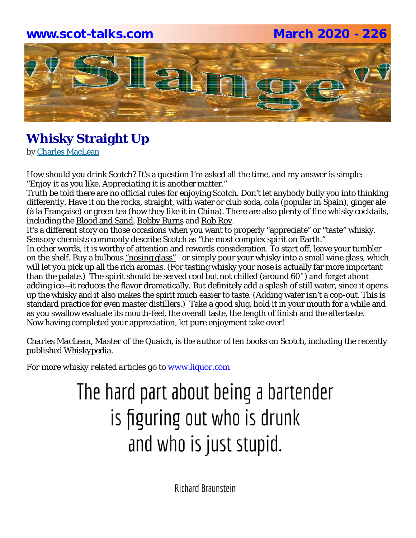# **www.scot-talks.com March 2020 - 226**



# **Whisky Straight Up**

by Charles MacLean

How should you drink Scotch? It's a question I'm asked all the time, and my answer is simple: "*Enjoy* it as you like. *Appreciating* it is another matter."

Truth be told there are no official rules for enjoying Scotch. Don't let anybody bully you into thinking differently. Have it on the rocks, straight, with water or club soda, cola (popular in Spain), ginger ale (à la Française) or green tea (how they like it in China). There are also plenty of fine whisky cocktails, including the Blood and Sand, Bobby Burns and Rob Roy.

It's a different story on those occasions when you want to properly "appreciate" or "taste" whisky. Sensory chemists commonly describe Scotch as "the most complex spirit on Earth."

In other words, it is worthy of attention and rewards consideration. To start off, leave your tumbler on the shelf. Buy a bulbous "nosing glass" or simply pour your whisky into a small wine glass, which will let you pick up all the rich aromas. (For tasting whisky your nose is actually far more important than the palate.) The spirit should be served cool but not chilled (around 60˚) and forget about adding ice—it reduces the flavor dramatically. But definitely add a splash of still water, since it opens up the whisky and it also makes the spirit much easier to taste. (Adding water isn't a cop-out. This is standard practice for even master distillers.) Take a good slug, hold it in your mouth for a while and as you swallow evaluate its mouth-feel, the overall taste, the length of finish and the aftertaste. Now having completed your appreciation, let pure enjoyment take over!

*Charles MacLean, Master of the Quaich, is the author of ten books on Scotch, including the recently published Whiskypedia.*

*For more whisky related articles go to www.liquor.com*

# The hard part about being a bartender is figuring out who is drunk and who is just stupid.

**Richard Braunstein**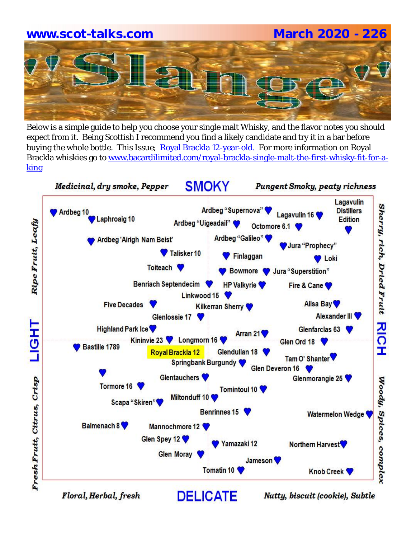# **www.scot-talks.com March 2020 - 226**

Below is a simple guide to help you choose your single malt Whisky, and the flavor notes you should expect from it. Being Scottish I recommend you find a likely candidate and try it in a bar before buying the whole bottle. This Issue; Royal Brackla 12-year-old. For more information on Royal Brackla whiskies go to www.bacardilimited.com/royal-brackla-single-malt-the-first-whisky-fit-for-aking

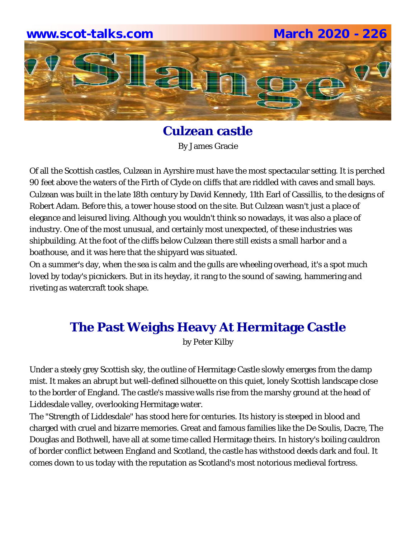

**Culzean castle** By James Gracie

Of all the Scottish castles, Culzean in Ayrshire must have the most spectacular setting. It is perched 90 feet above the waters of the Firth of Clyde on cliffs that are riddled with caves and small bays. Culzean was built in the late 18th century by David Kennedy, 11th Earl of Cassillis, to the designs of Robert Adam. Before this, a tower house stood on the site. But Culzean wasn't just a place of elegance and leisured living. Although you wouldn't think so nowadays, it was also a place of industry. One of the most unusual, and certainly most unexpected, of these industries was shipbuilding. At the foot of the cliffs below Culzean there still exists a small harbor and a boathouse, and it was here that the shipyard was situated.

On a summer's day, when the sea is calm and the gulls are wheeling overhead, it's a spot much loved by today's picnickers. But in its heyday, it rang to the sound of sawing, hammering and riveting as watercraft took shape.

# **The Past Weighs Heavy At Hermitage Castle**

by Peter Kilby

Under a steely grey Scottish sky, the outline of Hermitage Castle slowly emerges from the damp mist. It makes an abrupt but well-defined silhouette on this quiet, lonely Scottish landscape close to the border of England. The castle's massive walls rise from the marshy ground at the head of Liddesdale valley, overlooking Hermitage water.

The "Strength of Liddesdale" has stood here for centuries. Its history is steeped in blood and charged with cruel and bizarre memories. Great and famous families like the De Soulis, Dacre, The Douglas and Bothwell, have all at some time called Hermitage theirs. In history's boiling cauldron of border conflict between England and Scotland, the castle has withstood deeds dark and foul. It comes down to us today with the reputation as Scotland's most notorious medieval fortress.